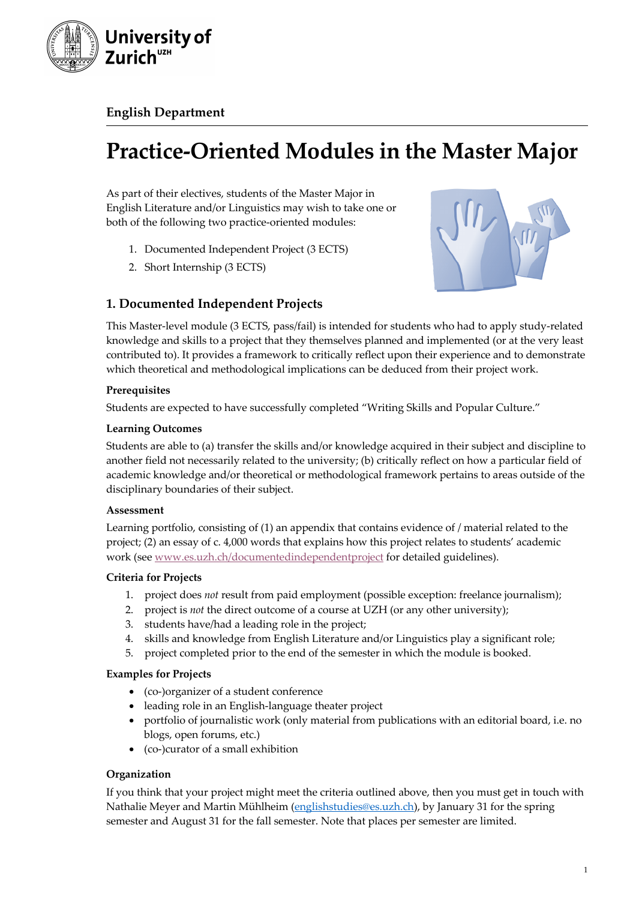

**English Department**

# **Practice-Oriented Modules in the Master Major**

As part of their electives, students of the Master Major in English Literature and/or Linguistics may wish to take one or both of the following two practice-oriented modules:

- 1. Documented Independent Project (3 ECTS)
- 2. Short Internship (3 ECTS)



# **1. Documented Independent Projects**

This Master-level module (3 ECTS, pass/fail) is intended for students who had to apply study-related knowledge and skills to a project that they themselves planned and implemented (or at the very least contributed to). It provides a framework to critically reflect upon their experience and to demonstrate which theoretical and methodological implications can be deduced from their project work.

## **Prerequisites**

Students are expected to have successfully completed "Writing Skills and Popular Culture."

## **Learning Outcomes**

Students are able to (a) transfer the skills and/or knowledge acquired in their subject and discipline to another field not necessarily related to the university; (b) critically reflect on how a particular field of academic knowledge and/or theoretical or methodological framework pertains to areas outside of the disciplinary boundaries of their subject.

## **Assessment**

Learning portfolio, consisting of (1) an appendix that contains evidence of / material related to the project; (2) an essay of c. 4,000 words that explains how this project relates to students' academic work (see www.es.uzh.ch/documentedindependentproject for detailed guidelines).

## **Criteria for Projects**

- 1. project does *not* result from paid employment (possible exception: freelance journalism);
- 2. project is *not* the direct outcome of a course at UZH (or any other university);
- 3. students have/had a leading role in the project;
- 4. skills and knowledge from English Literature and/or Linguistics play a significant role;
- 5. project completed prior to the end of the semester in which the module is booked.

## **Examples for Projects**

- (co-)organizer of a student conference
- leading role in an English-language theater project
- portfolio of journalistic work (only material from publications with an editorial board, i.e. no blogs, open forums, etc.)
- (co-)curator of a small exhibition

## **Organization**

If you think that your project might meet the criteria outlined above, then you must get in touch with Nathalie Meyer and Martin Mühlheim (englishstudies@es.uzh.ch), by January 31 for the spring semester and August 31 for the fall semester. Note that places per semester are limited.